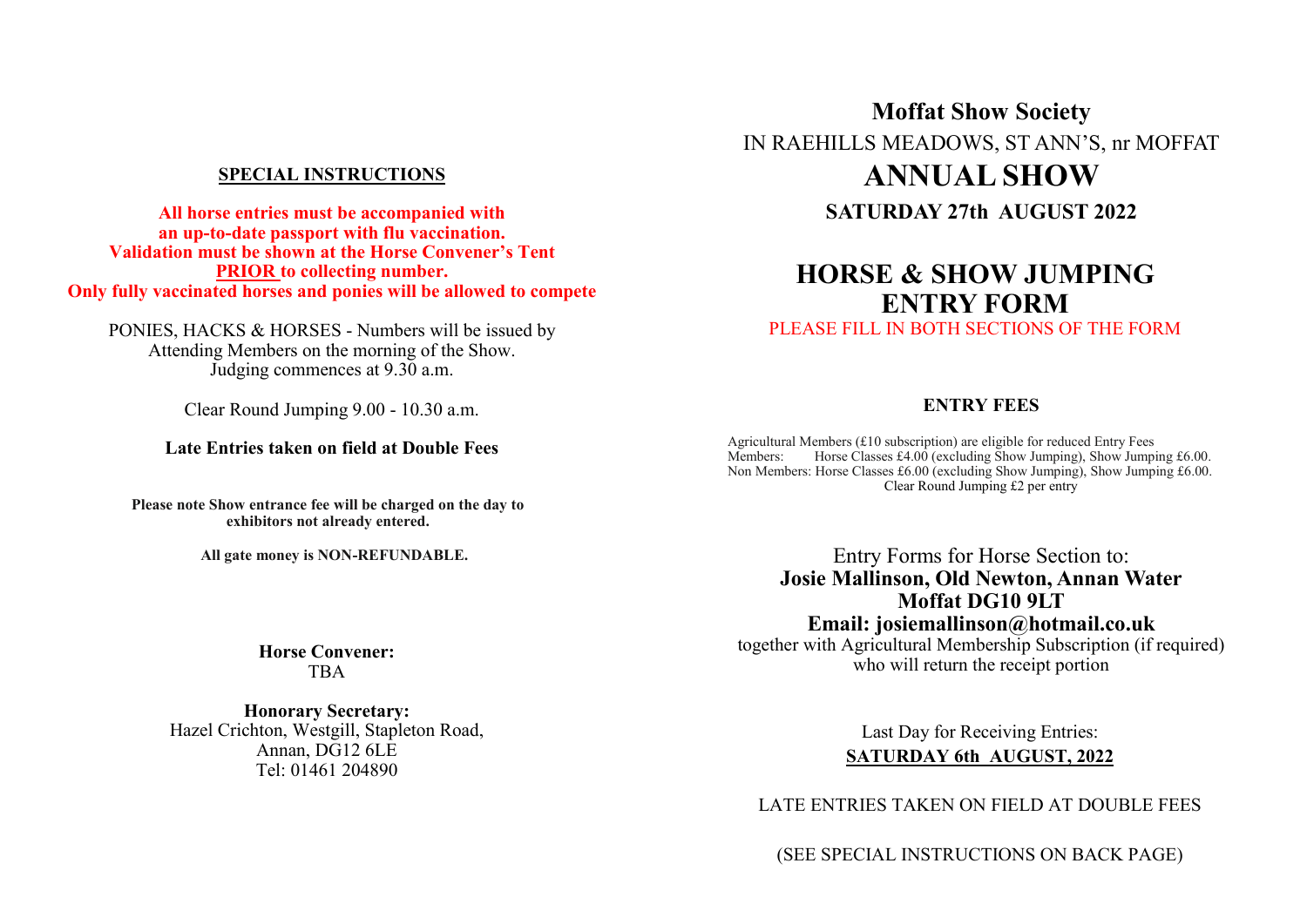## **SPECIAL INSTRUCTIONS**

**All horse entries must be accompanied with an up-to-date passport with flu vaccination. Validation must be shown at the Horse Convener's Tent PRIOR to collecting number. Only fully vaccinated horses and ponies will be allowed to compete**

PONIES, HACKS & HORSES - Numbers will be issued by Attending Members on the morning of the Show. Judging commences at 9.30 a.m.

Clear Round Jumping 9.00 - 10.30 a.m.

### **Late Entries taken on field at Double Fees**

**Please note Show entrance fee will be charged on the day to exhibitors not already entered.**

**All gate money is NON-REFUNDABLE.**

#### **Horse Convener:** TBA

**Honorary Secretary:** Hazel Crichton, Westgill, Stapleton Road, Annan, DG12 6LE Tel: 01461 204890

**Moffat Show Society** IN RAEHILLS MEADOWS, ST ANN'S, nr MOFFAT **ANNUAL SHOW SATURDAY 27th AUGUST 2022**

# **HORSE & SHOW JUMPING ENTRY FORM**

PLEASE FILL IN BOTH SECTIONS OF THE FORM

## **ENTRY FEES**

Agricultural Members (£10 subscription) are eligible for reduced Entry Fees Members: Horse Classes £4.00 (excluding Show Jumping), Show Jumping £6.00. Non Members: Horse Classes £6.00 (excluding Show Jumping), Show Jumping £6.00. Clear Round Jumping £2 per entry

Entry Forms for Horse Section to: **Josie Mallinson, Old Newton, Annan Water Moffat DG10 9LT Email: josiemallinson@hotmail.co.uk**

together with Agricultural Membership Subscription (if required) who will return the receipt portion

> Last Day for Receiving Entries: **SATURDAY 6th AUGUST, 2022**

LATE ENTRIES TAKEN ON FIELD AT DOUBLE FEES

(SEE SPECIAL INSTRUCTIONS ON BACK PAGE)